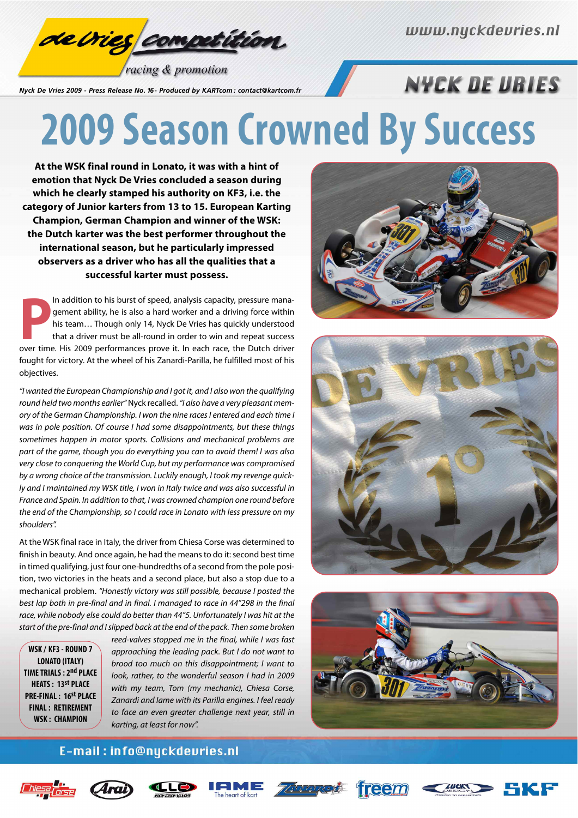

racing & promotion

*Nyck De Vries 2009 - Press Release No. 16 - Produced by KARTcom : contact@kartcom.fr*

### **NYCK DE URIES**

## **2009 Season Crowned By Success**

**At the WSK final round in Lonato, it was with a hint of emotion that Nyck De Vries concluded a season during which he clearly stamped his authority on KF3, i.e. the category of Junior karters from 13 to 15. European Karting Champion, German Champion and winner of the WSK: the Dutch karter was the best performer throughout the international season, but he particularly impressed observers as a driver who has all the qualities that a successful karter must possess.**

In addition to his burst of speed, analysis capacity, pressure management ability, he is also a hard worker and a driving force within his team... Though only 14, Nyck De Vries has quickly understood that a driver must be In addition to his burst of speed, analysis capacity, pressure management ability, he is also a hard worker and a driving force within his team… Though only 14, Nyck De Vries has quickly understood that a driver must be all-round in order to win and repeat success fought for victory. At the wheel of his Zanardi-Parilla, he fulfilled most of his objectives.

"I wanted the European Championship and I got it, and I also won the qualifying round held two months earlier" Nyck recalled. "I also have a very pleasant memory of the German Championship. I won the nine races I entered and each time I was in pole position. Of course I had some disappointments, but these things sometimes happen in motor sports. Collisions and mechanical problems are part of the game, though you do everything you can to avoid them! I was also very close to conquering the World Cup, but my performance was compromised by a wrong choice of the transmission. Luckily enough, I took my revenge quickly and I maintained my WSK title, I won in Italy twice and was also successful in France and Spain. In addition to that, I was crowned champion one round before the end of the Championship, so I could race in Lonato with less pressure on my shoulders".

At the WSK final race in Italy, the driver from Chiesa Corse was determined to finish in beauty. And once again, he had the means to do it: second best time in timed qualifying, just four one-hundredths of a second from the pole position, two victories in the heats and a second place, but also a stop due to a mechanical problem. "Honestly victory was still possible, because I posted the best lap both in pre-final and in final. I managed to race in 44"298 in the final race, while nobody else could do better than 44"5. Unfortunately I was hit at the start of the pre-final and I slipped back at the end of the pack. Then some broken

**WSK / KF3 - ROUND 7 LONATO (ITALY) TIME TRIALS : 2nd PLACE HEATS : 13st PLACE PRE-FINAL : 16st PLACE FINAL : RETIREMENT WSK : CHAMPION**

reed-valves stopped me in the final, while I was fast approaching the leading pack. But I do not want to brood too much on this disappointment; I want to look, rather, to the wonderful season I had in 2009 with my team, Tom (my mechanic), Chiesa Corse, Zanardi and Iame with its Parilla engines. I feel ready to face an even greater challenge next year, still in karting, at least for now".







#### E-mail: info@nyckdevries.nl